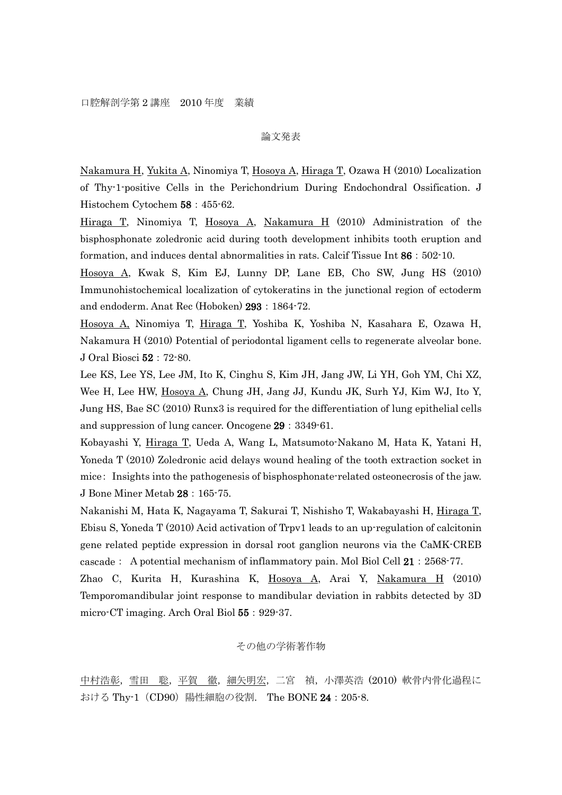## 論文発表

Nakamura H, Yukita A, Ninomiya T, Hosoya A, Hiraga T, Ozawa H (2010) Localization of Thy-1-positive Cells in the Perichondrium During Endochondral Ossification. J Histochem Cytochem 58:455-62.

Hiraga T, Ninomiya T, Hosoya A, Nakamura H (2010) Administration of the bisphosphonate zoledronic acid during tooth development inhibits tooth eruption and formation, and induces dental abnormalities in rats. Calcif Tissue Int 86:502-10.

Hosoya A, Kwak S, Kim EJ, Lunny DP, Lane EB, Cho SW, Jung HS (2010) Immunohistochemical localization of cytokeratins in the junctional region of ectoderm and endoderm. Anat Rec (Hoboken) 293:1864-72.

Hosoya A, Ninomiya T, Hiraga T, Yoshiba K, Yoshiba N, Kasahara E, Ozawa H, Nakamura H (2010) Potential of periodontal ligament cells to regenerate alveolar bone. J Oral Biosci 52:72-80.

Lee KS, Lee YS, Lee JM, Ito K, Cinghu S, Kim JH, Jang JW, Li YH, Goh YM, Chi XZ, Wee H, Lee HW, Hosoya A, Chung JH, Jang JJ, Kundu JK, Surh YJ, Kim WJ, Ito Y, Jung HS, Bae SC (2010) Runx3 is required for the differentiation of lung epithelial cells and suppression of lung cancer. Oncogene 29:3349-61.

Kobayashi Y, Hiraga T, Ueda A, Wang L, Matsumoto-Nakano M, Hata K, Yatani H, Yoneda T (2010) Zoledronic acid delays wound healing of the tooth extraction socket in mice: Insights into the pathogenesis of bisphosphonate-related osteonecrosis of the jaw. J Bone Miner Metab 28:165-75.

Nakanishi M, Hata K, Nagayama T, Sakurai T, Nishisho T, Wakabayashi H, Hiraga T, Ebisu S, Yoneda T (2010) Acid activation of Trpv1 leads to an up-regulation of calcitonin gene related peptide expression in dorsal root ganglion neurons via the CaMK-CREB cascade: A potential mechanism of inflammatory pain. Mol Biol Cell  $21:2568-77$ .

Zhao C, Kurita H, Kurashina K, Hosoya A, Arai Y, Nakamura H (2010) Temporomandibular joint response to mandibular deviation in rabbits detected by 3D micro-CT imaging. Arch Oral Biol 55: 929-37.

## その他の学術著作物

中村浩彰,雪田 聡,平賀 徹,細矢明宏,二宮 禎,小澤英浩 (2010) 軟骨内骨化過程に おける Thy-1 (CD90) 陽性細胞の役割. The BONE 24: 205-8.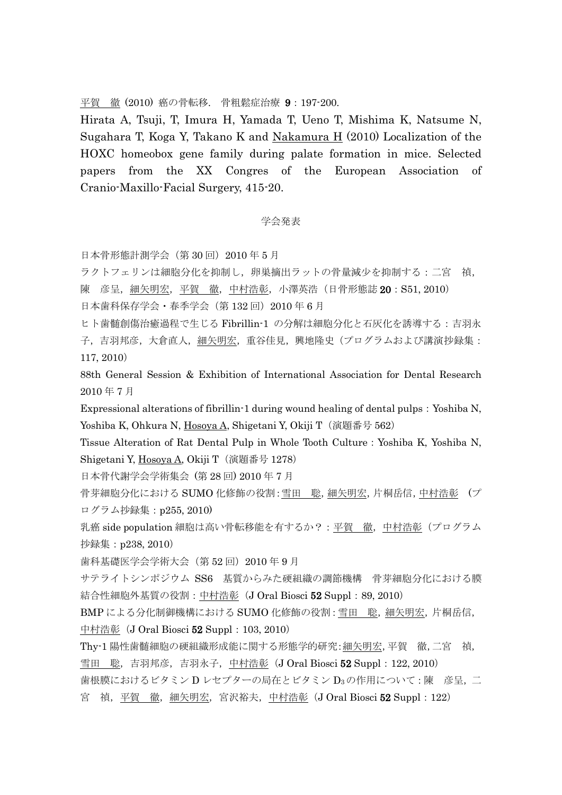平賀 徹 (2010) 癌の骨転移. 骨粗鬆症治療 9:197-200.

Hirata A, Tsuji, T, Imura H, Yamada T, Ueno T, Mishima K, Natsume N, Sugahara T, Koga Y, Takano K and Nakamura H (2010) Localization of the HOXC homeobox gene family during palate formation in mice. Selected papers from the XX Congres of the European Association of Cranio-Maxillo-Facial Surgery, 415-20.

## 学会発表

日本骨形態計測学会(第 30 回)2010 年 5 月

ラクトフェリンは細胞分化を抑制し,卵巣摘出ラットの骨量減少を抑制する:二宮 禎, 陳 彦呈, 細矢明宏, 平賀 徹, 中村浩彰, 小澤英浩 (日骨形態誌 20: S51, 2010) 日本歯科保存学会・春季学会(第 132回)2010年6月

ヒト歯髄創傷治癒過程で生じる Fibrillin-1 の分解は細胞分化と石灰化を誘導する:吉羽永 子,吉羽邦彦,大倉直人,細矢明宏,重谷佳見,興地隆史(プログラムおよび講演抄録集: 117, 2010)

88th General Session & Exhibition of International Association for Dental Research 2010 年 7 月

Expressional alterations of fibrillin-1 during wound healing of dental pulps: Yoshiba N, Yoshiba K, Ohkura N, Hosoya A, Shigetani Y, Okiji T (演題番号 562)

Tissue Alteration of Rat Dental Pulp in Whole Tooth Culture:Yoshiba K, Yoshiba N, Shigetani Y, Hosoya A, Okiji T (演題番号 1278)

日本骨代謝学会学術集会 (第 28 回) 2010 年 7 月

骨芽細胞分化における SUMO 化修飾の役割:雪田 聡,細矢明宏,片桐岳信,中村浩彰 (プ ログラム抄録集:p255, 2010)

乳癌 side population 細胞は高い骨転移能を有するか?: 平賀 徹,中村浩彰(プログラム 抄録集:p238, 2010)

歯科基礎医学会学術大会(第52回)2010年9月

サテライトシンポジウム SS6 基質からみた硬組織の調節機構 骨芽細胞分化における膜 結合性細胞外基質の役割: 中村浩彰 (J Oral Biosci 52 Suppl: 89, 2010)

BMP による分化制御機構における SUMO 化修飾の役割: 雪田 聡, 細矢明宏, 片桐岳信, 中村浩彰 (J Oral Biosci 52 Suppl: 103, 2010)

Thy-1 陽性歯髄細胞の硬組織形成能に関する形態学的研究:細矢明宏,平賀 徹,二宮 禎, 雪田 聡,吉羽邦彦,吉羽永子,中村浩彰(J Oral Biosci **52** Suppl: 122, 2010) 歯根膜におけるビタミン D レセプターの局在とビタミン D3の作用について:陳 彦呈,二 宮 禎, 平賀 徹, 細矢明宏, 宮沢裕夫, 中村浩彰 (J Oral Biosci 52 Suppl: 122)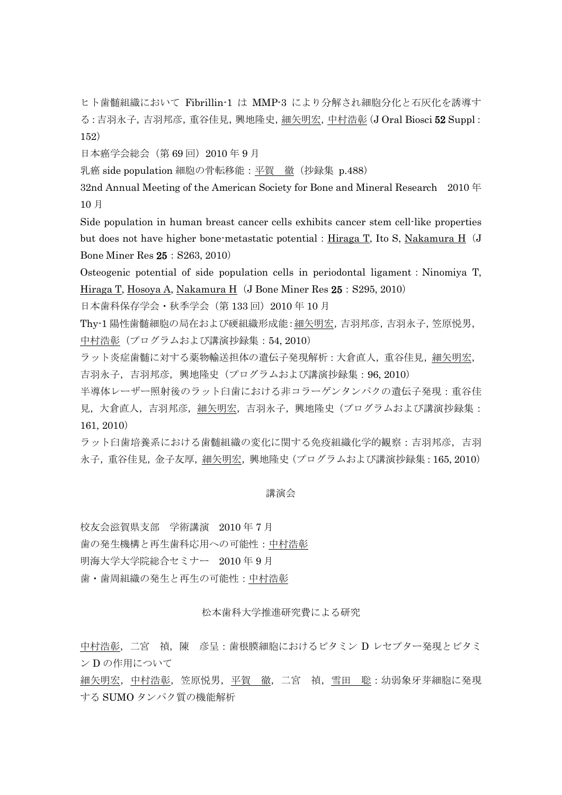ヒト歯髄組織において Fibrillin-1 は MMP-3 により分解され細胞分化と石灰化を誘導す る:吉羽永子,吉羽邦彦,重谷佳見,興地隆史,細矢明宏,中村浩彰(J Oral Biosci 52 Suppl: 152)

日本癌学会総会(第 69 回)2010 年 9 月

乳癌 side population 細胞の骨転移能:平賀 徹(抄録集 p.488)

32nd Annual Meeting of the American Society for Bone and Mineral Research 2010 年 10 月

Side population in human breast cancer cells exhibits cancer stem cell-like properties but does not have higher bone-metastatic potential:  $\overline{Hiraga T}$ , Ito S, Nakamura  $\overline{H}$  (J Bone Miner Res 25:S263, 2010)

Osteogenic potential of side population cells in periodontal ligament: Ninomiya T, Hiraga T, Hosoya A, Nakamura H(J Bone Miner Res 25: S295, 2010)

日本歯科保存学会·秋季学会(第 133回) 2010 年 10 月

Thy-1 陽性歯髄細胞の局在および硬組織形成能:細矢明宏,吉羽邦彦,吉羽永子,笠原悦男, 中村浩彰(プログラムおよび講演抄録集:54, 2010)

ラット炎症歯髄に対する薬物輸送担体の遺伝子発現解析:大倉直人,重谷佳見,細矢明宏, 吉羽永子,吉羽邦彦,興地隆史(プログラムおよび講演抄録集:96, 2010)

半導体レーザー照射後のラット臼歯における非コラーゲンタンパクの遺伝子発現:重谷佳 見、大倉直人、吉羽邦彦、細矢明宏、吉羽永子、興地隆史(プログラムおよび講演抄録集: 161, 2010)

ラット臼歯培養系における歯髄組織の変化に関する免疫組織化学的観察:吉羽邦彦,吉羽 永子,重谷佳見,金子友厚,細矢明宏,興地隆史(プログラムおよび講演抄録集:165, 2010)

## 講演会

校友会滋賀県支部 学術講演 2010 年 7 月 歯の発生機構と再生歯科応用への可能性:中村浩彰

明海大学大学院総合セミナー 2010 年 9 月

歯・歯周組織の発生と再生の可能性:中村浩彰

松本歯科大学推進研究費による研究

中村浩彰, 二宮 禎, 陳 彦呈: 歯根膜細胞におけるビタミン D レセプター発現とビタミ ン D の作用について

<u>細矢明宏,中村浩彰,</u>笠原悦男,平賀 徹,二宮 禎,雪田 聡:幼弱象牙芽細胞に発現 する SUMO タンパク質の機能解析